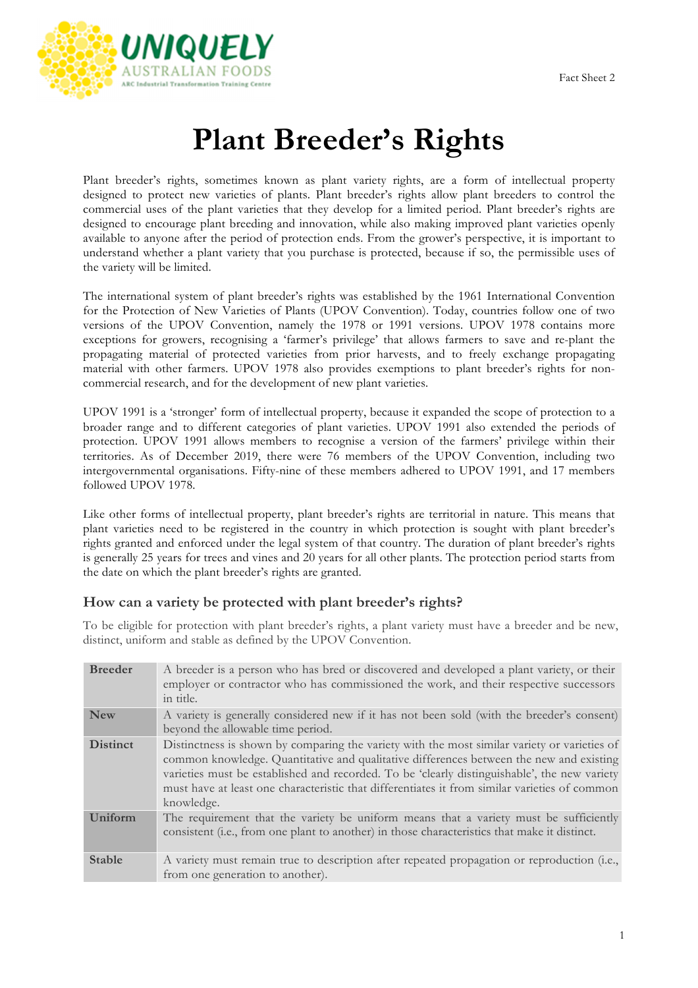

# **Plant Breeder's Rights**

Plant breeder's rights, sometimes known as plant variety rights, are a form of intellectual property designed to protect new varieties of plants. Plant breeder's rights allow plant breeders to control the commercial uses of the plant varieties that they develop for a limited period. Plant breeder's rights are designed to encourage plant breeding and innovation, while also making improved plant varieties openly available to anyone after the period of protection ends. From the grower's perspective, it is important to understand whether a plant variety that you purchase is protected, because if so, the permissible uses of the variety will be limited.

The international system of plant breeder's rights was established by the 1961 International Convention for the Protection of New Varieties of Plants (UPOV Convention). Today, countries follow one of two versions of the UPOV Convention, namely the 1978 or 1991 versions. UPOV 1978 contains more exceptions for growers, recognising a 'farmer's privilege' that allows farmers to save and re-plant the propagating material of protected varieties from prior harvests, and to freely exchange propagating material with other farmers. UPOV 1978 also provides exemptions to plant breeder's rights for noncommercial research, and for the development of new plant varieties.

UPOV 1991 is a 'stronger' form of intellectual property, because it expanded the scope of protection to a broader range and to different categories of plant varieties. UPOV 1991 also extended the periods of protection. UPOV 1991 allows members to recognise a version of the farmers' privilege within their territories. As of December 2019, there were 76 members of the UPOV Convention, including two intergovernmental organisations. Fifty-nine of these members adhered to UPOV 1991, and 17 members followed UPOV 1978.

Like other forms of intellectual property, plant breeder's rights are territorial in nature. This means that plant varieties need to be registered in the country in which protection is sought with plant breeder's rights granted and enforced under the legal system of that country. The duration of plant breeder's rights is generally 25 years for trees and vines and 20 years for all other plants. The protection period starts from the date on which the plant breeder's rights are granted.

### **How can a variety be protected with plant breeder's rights?**

To be eligible for protection with plant breeder's rights, a plant variety must have a breeder and be new, distinct, uniform and stable as defined by the UPOV Convention.

| <b>Breeder</b>  | A breeder is a person who has bred or discovered and developed a plant variety, or their<br>employer or contractor who has commissioned the work, and their respective successors<br>in title.                                                                                                                                                                                                         |
|-----------------|--------------------------------------------------------------------------------------------------------------------------------------------------------------------------------------------------------------------------------------------------------------------------------------------------------------------------------------------------------------------------------------------------------|
| <b>New</b>      | A variety is generally considered new if it has not been sold (with the breeder's consent)<br>beyond the allowable time period.                                                                                                                                                                                                                                                                        |
| <b>Distinct</b> | Distinctness is shown by comparing the variety with the most similar variety or varieties of<br>common knowledge. Quantitative and qualitative differences between the new and existing<br>varieties must be established and recorded. To be 'clearly distinguishable', the new variety<br>must have at least one characteristic that differentiates it from similar varieties of common<br>knowledge. |
| <b>Uniform</b>  | The requirement that the variety be uniform means that a variety must be sufficiently<br>consistent (i.e., from one plant to another) in those characteristics that make it distinct.                                                                                                                                                                                                                  |
| <b>Stable</b>   | A variety must remain true to description after repeated propagation or reproduction (i.e.,<br>from one generation to another).                                                                                                                                                                                                                                                                        |